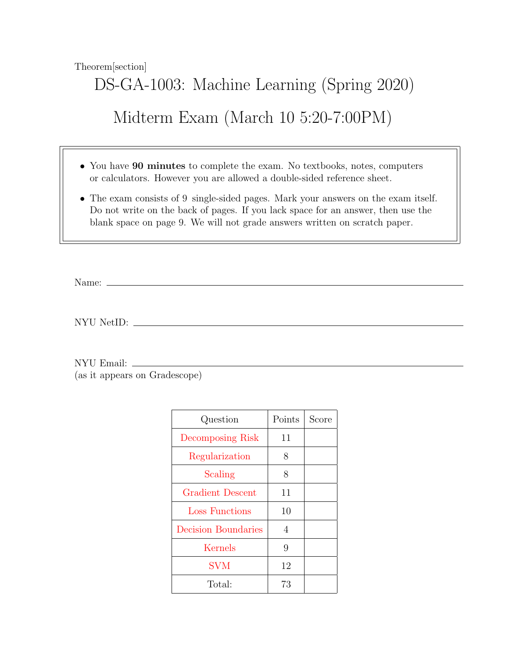Theorem[section]

## DS-GA-1003: Machine Learning (Spring 2020) Midterm Exam (March 10 5:20-7:00PM)

- You have 90 minutes to complete the exam. No textbooks, notes, computers or calculators. However you are allowed a double-sided reference sheet.
- The exam consists of 9 single-sided pages. Mark your answers on the exam itself. Do not write on the back of pages. If you lack space for an answer, then use the blank space on page 9. We will not grade answers written on scratch paper.

Name:  $\equiv$ 

NYU NetID:

NYU Email:

(as it appears on Gradescope)

| Question                   | Points | Score |
|----------------------------|--------|-------|
| Decomposing Risk           | 11     |       |
| Regularization             | 8      |       |
| Scaling                    | 8      |       |
| <b>Gradient Descent</b>    | 11     |       |
| Loss Functions             | 10     |       |
| <b>Decision Boundaries</b> | 4      |       |
| Kernels                    | 9      |       |
| <b>SVM</b>                 | 12     |       |
| Total:                     | 73     |       |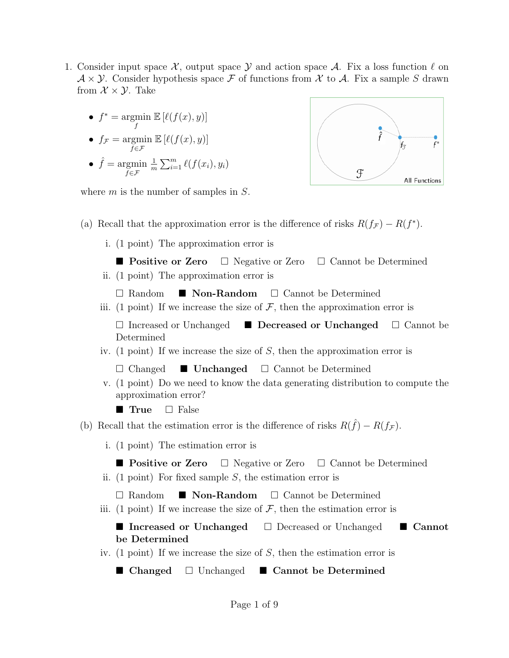- <span id="page-1-0"></span>1. Consider input space  $\mathcal{X}$ , output space  $\mathcal{Y}$  and action space  $\mathcal{A}$ . Fix a loss function  $\ell$  on  $\mathcal{A} \times \mathcal{Y}$ . Consider hypothesis space F of functions from X to A. Fix a sample S drawn from  $\mathcal{X} \times \mathcal{Y}$ . Take
	- $f^* = \operatorname{argmin}$  $\mathbb{E} \left[ \ell(f(x), y) \right]$
	- f •  $f_{\mathcal{F}} = \operatorname{argmin}$  $\mathbb{E} \left[ \ell(f(x), y) \right]$

f∈F

•  $\hat{f} = \text{argmin}$  $f \in \mathcal{F}$ 1  $\frac{1}{m}\sum_{i=1}^m \ell(f(x_i), y_i)$ 



where  $m$  is the number of samples in  $S$ .

- (a) Recall that the approximation error is the difference of risks  $R(f_{\mathcal{F}}) R(f^*)$ .
	- i. (1 point) The approximation error is
		- **Positive or Zero**  $\Box$  Negative or Zero  $\Box$  Cannot be Determined
	- ii. (1 point) The approximation error is
		- $\Box$  Random  $\Box$  **Non-Random**  $\Box$  Cannot be Determined
	- iii. (1 point) If we increase the size of  $\mathcal{F}$ , then the approximation error is
		- $\Box$  Increased or Unchanged  $\Box$  Decreased or Unchanged  $\Box$  Cannot be Determined
	- iv. (1 point) If we increase the size of S, then the approximation error is

 $\Box$  Changed  $\Box$  Unchanged  $\Box$  Cannot be Determined

v. (1 point) Do we need to know the data generating distribution to compute the approximation error?

**True**  $\Box$  False

- (b) Recall that the estimation error is the difference of risks  $R(\hat{f}) R(f_{\mathcal{F}})$ .
	- i. (1 point) The estimation error is
	- **Positive or Zero**  $\Box$  Negative or Zero  $\Box$  Cannot be Determined
	- ii. (1 point) For fixed sample  $S$ , the estimation error is
		- $\Box$  Random  $\Box$  **Non-Random**  $\Box$  Cannot be Determined
	- iii. (1 point) If we increase the size of  $\mathcal F$ , then the estimation error is

## ■ Increased or Unchanged Decreased or Unchanged I Cannot be Determined

iv. (1 point) If we increase the size of  $S$ , then the estimation error is

■ Changed  $□$  Unchanged ■ Cannot be Determined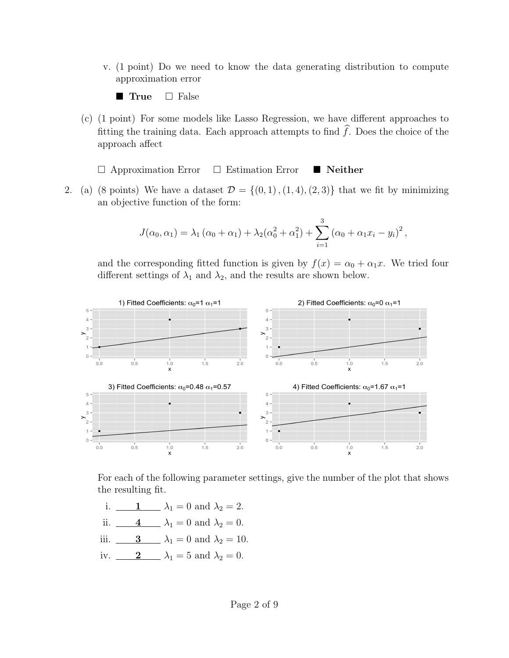v. (1 point) Do we need to know the data generating distribution to compute approximation error

**True**  $\Box$  False

(c) (1 point) For some models like Lasso Regression, we have different approaches to fitting the training data. Each approach attempts to find  $\widehat{f}$ . Does the choice of the approach affect

 $\Box$  Approximation Error  $\Box$  Estimation Error  $\blacksquare$  Neither

<span id="page-2-0"></span>2. (a) (8 points) We have a dataset  $\mathcal{D} = \{(0,1), (1,4), (2,3)\}\)$  that we fit by minimizing an objective function of the form:

$$
J(\alpha_0, \alpha_1) = \lambda_1 (\alpha_0 + \alpha_1) + \lambda_2 (\alpha_0^2 + \alpha_1^2) + \sum_{i=1}^3 (\alpha_0 + \alpha_1 x_i - y_i)^2,
$$

and the corresponding fitted function is given by  $f(x) = \alpha_0 + \alpha_1 x$ . We tried four different settings of  $\lambda_1$  and  $\lambda_2$ , and the results are shown below.



For each of the following parameter settings, give the number of the plot that shows the resulting fit.

- i.  $1 \t \lambda_1 = 0$  and  $\lambda_2 = 2$ .
- ii.  $\underline{\hspace{1cm}} 4 \underline{\hspace{1cm}} \lambda_1 = 0$  and  $\lambda_2 = 0$ .
- iii.  $\qquad \qquad 3 \qquad \lambda_1 = 0$  and  $\lambda_2 = 10$ .
- iv.  $2 \quad \lambda_1 = 5$  and  $\lambda_2 = 0$ .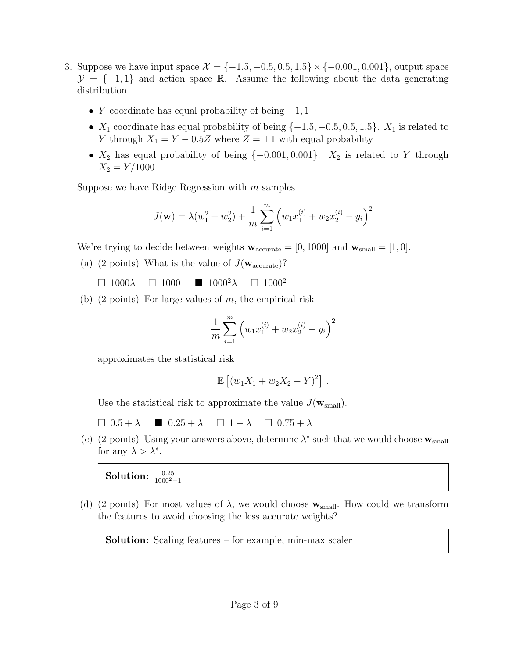- <span id="page-3-0"></span>3. Suppose we have input space  $\mathcal{X} = \{-1.5, -0.5, 0.5, 1.5\} \times \{-0.001, 0.001\}$ , output space  $\mathcal{Y} = \{-1, 1\}$  and action space R. Assume the following about the data generating distribution
	- Y coordinate has equal probability of being  $-1, 1$
	- $X_1$  coordinate has equal probability of being  $\{-1.5, -0.5, 0.5, 1.5\}$ .  $X_1$  is related to Y through  $X_1 = Y - 0.5Z$  where  $Z = \pm 1$  with equal probability
	- $X_2$  has equal probability of being  $\{-0.001, 0.001\}$ .  $X_2$  is related to Y through  $X_2 = Y/1000$

Suppose we have Ridge Regression with  $m$  samples

$$
J(\mathbf{w}) = \lambda (w_1^2 + w_2^2) + \frac{1}{m} \sum_{i=1}^m \left( w_1 x_1^{(i)} + w_2 x_2^{(i)} - y_i \right)^2
$$

We're trying to decide between weights  $\mathbf{w}_{\text{accurate}} = [0, 1000]$  and  $\mathbf{w}_{\text{small}} = [1, 0]$ .

- (a) (2 points) What is the value of  $J(\mathbf{w}_{\text{accurate}})$ ?
	- $\Box$  1000λ  $\Box$  1000  $\blacksquare$  1000<sup>2</sup>λ  $\Box$  1000<sup>2</sup>
- (b) (2 points) For large values of  $m$ , the empirical risk

$$
\frac{1}{m} \sum_{i=1}^{m} \left( w_1 x_1^{(i)} + w_2 x_2^{(i)} - y_i \right)^2
$$

approximates the statistical risk

$$
\mathbb{E} [(w_1X_1 + w_2X_2 - Y)^2].
$$

Use the statistical risk to approximate the value  $J(\mathbf{w}_{small})$ .

 $\Box$  0.5 +  $\lambda$   $\Box$  0.25 +  $\lambda$   $\Box$  1 +  $\lambda$   $\Box$  0.75 +  $\lambda$ 

(c) (2 points) Using your answers above, determine  $\lambda^*$  such that we would choose  $\mathbf{w}_{\text{small}}$ for any  $\lambda > \lambda^*$ .

## Solution:  $\frac{0.25}{1000^2-1}$

(d) (2 points) For most values of  $\lambda$ , we would choose  $\mathbf{w}_{small}$ . How could we transform the features to avoid choosing the less accurate weights?

Solution: Scaling features – for example, min-max scaler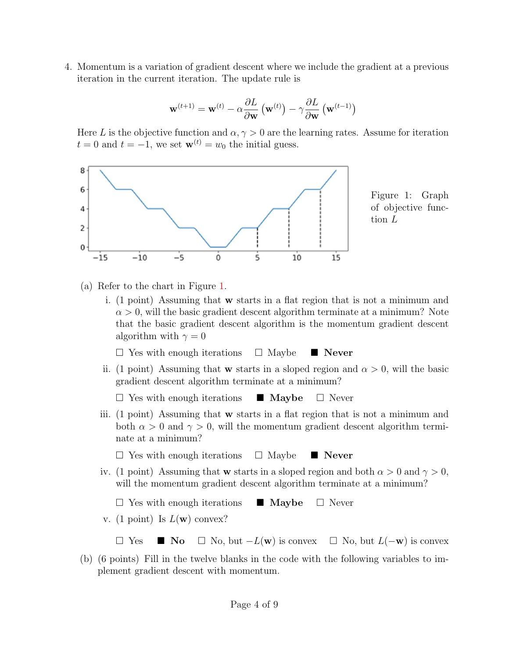<span id="page-4-0"></span>4. Momentum is a variation of gradient descent where we include the gradient at a previous iteration in the current iteration. The update rule is

$$
\mathbf{w}^{(t+1)} = \mathbf{w}^{(t)} - \alpha \frac{\partial L}{\partial \mathbf{w}} \left( \mathbf{w}^{(t)} \right) - \gamma \frac{\partial L}{\partial \mathbf{w}} \left( \mathbf{w}^{(t-1)} \right)
$$

Here L is the objective function and  $\alpha, \gamma > 0$  are the learning rates. Assume for iteration  $t = 0$  and  $t = -1$ , we set  $\mathbf{w}^{(t)} = w_0$  the initial guess.

<span id="page-4-1"></span>

(a) Refer to the chart in Figure [1.](#page-4-1)

i. (1 point) Assuming that w starts in a flat region that is not a minimum and  $\alpha > 0$ , will the basic gradient descent algorithm terminate at a minimum? Note that the basic gradient descent algorithm is the momentum gradient descent algorithm with  $\gamma = 0$ 

 $\Box$  Yes with enough iterations  $\Box$  Maybe  $\Box$  Never

ii. (1 point) Assuming that **w** starts in a sloped region and  $\alpha > 0$ , will the basic gradient descent algorithm terminate at a minimum?

 $\Box$  Yes with enough iterations  $\Box$  Maybe  $\Box$  Never

iii. (1 point) Assuming that w starts in a flat region that is not a minimum and both  $\alpha > 0$  and  $\gamma > 0$ , will the momentum gradient descent algorithm terminate at a minimum?

 $\Box$  Yes with enough iterations  $\Box$  Maybe  $\Box$  Never

iv. (1 point) Assuming that w starts in a sloped region and both  $\alpha > 0$  and  $\gamma > 0$ , will the momentum gradient descent algorithm terminate at a minimum?

 $\Box$  Yes with enough iterations  $\Box$  Maybe  $\Box$  Never

v. (1 point) Is  $L(\mathbf{w})$  convex?

 $\Box$  Yes  $\blacksquare$  No  $\Box$  No, but  $-L(\mathbf{w})$  is convex  $\Box$  No, but  $L(-\mathbf{w})$  is convex

(b) (6 points) Fill in the twelve blanks in the code with the following variables to implement gradient descent with momentum.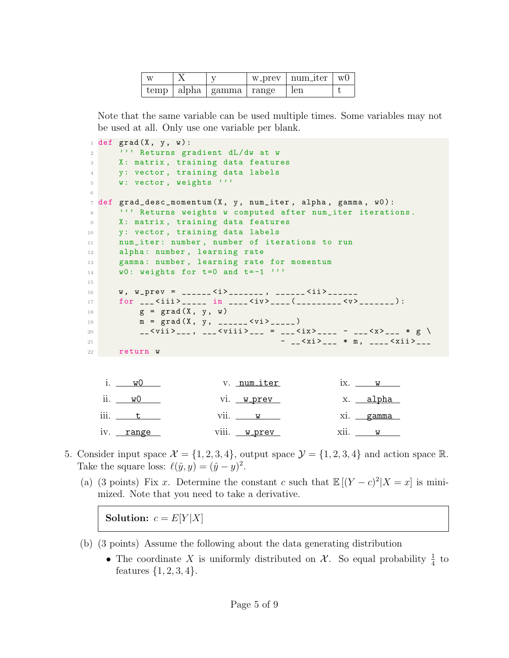| <b>XX</b> |                              | W_prev   num_iter | WU. |
|-----------|------------------------------|-------------------|-----|
|           | temp   alpha   gamma   range | len               |     |

Note that the same variable can be used multiple times. Some variables may not be used at all. Only use one variable per blank.

```
1 def grad (X, y, w):
2 ''' Returns gradient dL/dw at w
3 X: matrix , training data features
4 y: vector , training data labels
5 W: vector, weights '''
6
7 def grad_desc_momentum (X, y, num\_iter, alpha, gamma, w0):
8 ''' Returns weights w computed after num_iter iterations.
9 X: matrix, training data features
10 y: vector, training data labels
11 num_iter: number, number of iterations to run
12 alpha: number, learning rate
13 gamma: number, learning rate for momentum
14 w0: weights for t=0 and t=-1 '''
15
16 w, w_prev = ______ <i>_______, ______ <ii>______
17 for ___ < iii > _____ in ____ < iv > ____ ( _________ <v > _______ ) :
18 g = \text{grad}(X, y, w)19 m = \text{grad}(X, y, \frac{1}{2} - \frac{1}{2})20 __ < vii > ___ , ___ < viii > ___ = ___ < ix > ____ - ___ <x > ___ * g \
21 - - \langle x i \rangle - - \langle x i \rangle - \langle x i i \rangle -22 return w
   i. w0
  ii. w0
                          v. <u>num iter</u>
                         vi. w_prev
                                                 ix. \t\t wx. alpha
```

| :::                               | $\cdot$ $\cdot$<br>----<br>--<br>.            | 77<br>------<br>$\Lambda$ |
|-----------------------------------|-----------------------------------------------|---------------------------|
| range<br>T<br>— حسه -<br><b>.</b> | $\cdots$<br>prev<br>ы<br>111.<br>$\mathbf{v}$ | $\cdot$ $\cdot$<br>----   |
|                                   |                                               |                           |

- <span id="page-5-0"></span>5. Consider input space  $\mathcal{X} = \{1, 2, 3, 4\}$ , output space  $\mathcal{Y} = \{1, 2, 3, 4\}$  and action space R. Take the square loss:  $\ell(\hat{y}, y) = (\hat{y} - y)^2$ .
	- (a) (3 points) Fix x. Determine the constant c such that  $\mathbb{E}[(Y-c)^2|X=x]$  is minimized. Note that you need to take a derivative.

Solution:  $c = E[Y|X]$ 

- (b) (3 points) Assume the following about the data generating distribution
	- The coordinate X is uniformly distributed on  $\mathcal{X}$ . So equal probability  $\frac{1}{4}$  to features  $\{1, 2, 3, 4\}.$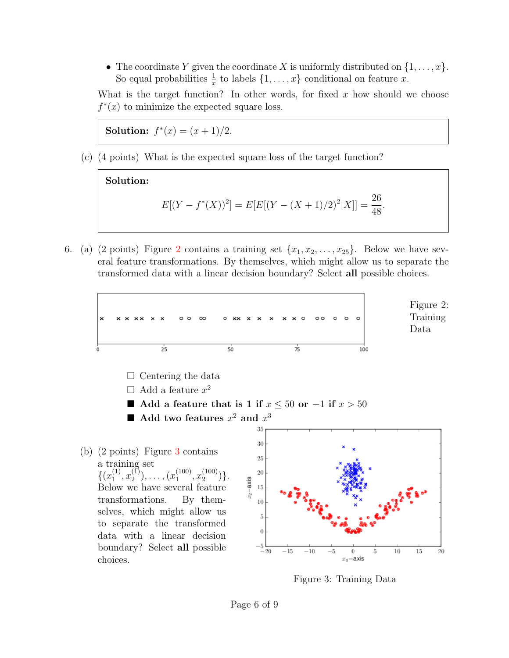• The coordinate Y given the coordinate X is uniformly distributed on  $\{1, \ldots, x\}$ . So equal probabilities  $\frac{1}{x}$  to labels  $\{1, \ldots, x\}$  conditional on feature x.

What is the target function? In other words, for fixed  $x$  how should we choose  $f^*(x)$  to minimize the expected square loss.

Solution:  $f^*(x) = (x+1)/2$ .

(c) (4 points) What is the expected square loss of the target function?



<span id="page-6-0"></span>6. (a) ([2](#page-6-1) points) Figure 2 contains a training set  $\{x_1, x_2, \ldots, x_{25}\}$ . Below we have several feature transformations. By themselves, which might allow us to separate the transformed data with a linear decision boundary? Select all possible choices.

<span id="page-6-1"></span>

<span id="page-6-2"></span>Figure 3: Training Data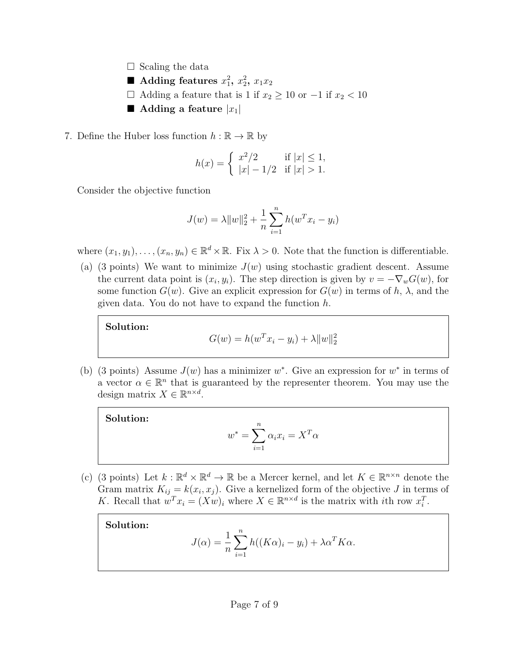- $\Box$  Scaling the data
- Adding features  $x_1^2$ ,  $x_2^2$ ,  $x_1x_2$
- $\Box$  Adding a feature that is 1 if  $x_2 \ge 10$  or  $-1$  if  $x_2 < 10$
- **Adding a feature**  $|x_1|$
- <span id="page-7-0"></span>7. Define the Huber loss function  $h : \mathbb{R} \to \mathbb{R}$  by

$$
h(x) = \begin{cases} x^2/2 & \text{if } |x| \le 1, \\ |x| - 1/2 & \text{if } |x| > 1. \end{cases}
$$

Consider the objective function

$$
J(w) = \lambda \|w\|_2^2 + \frac{1}{n} \sum_{i=1}^n h(w^T x_i - y_i)
$$

where  $(x_1, y_1), \ldots, (x_n, y_n) \in \mathbb{R}^d \times \mathbb{R}$ . Fix  $\lambda > 0$ . Note that the function is differentiable.

(a) (3 points) We want to minimize  $J(w)$  using stochastic gradient descent. Assume the current data point is  $(x_i, y_i)$ . The step direction is given by  $v = -\nabla_w G(w)$ , for some function  $G(w)$ . Give an explicit expression for  $G(w)$  in terms of h,  $\lambda$ , and the given data. You do not have to expand the function h.

Solution:

Solution:

$$
G(w) = h(w^{T}x_{i} - y_{i}) + \lambda ||w||_{2}^{2}
$$

(b) (3 points) Assume  $J(w)$  has a minimizer w<sup>\*</sup>. Give an expression for  $w^*$  in terms of a vector  $\alpha \in \mathbb{R}^n$  that is guaranteed by the representer theorem. You may use the design matrix  $X \in \mathbb{R}^{n \times d}$ .

$$
w^* = \sum_{i=1}^n \alpha_i x_i = X^T \alpha
$$

(c) (3 points) Let  $k : \mathbb{R}^d \times \mathbb{R}^d \to \mathbb{R}$  be a Mercer kernel, and let  $K \in \mathbb{R}^{n \times n}$  denote the Gram matrix  $K_{ij} = k(x_i, x_j)$ . Give a kernelized form of the objective J in terms of K. Recall that  $w^T x_i = (Xw)_i$  where  $X \in \mathbb{R}^{n \times d}$  is the matrix with *i*th row  $x_i^T$ .

Solution:

$$
J(\alpha) = \frac{1}{n} \sum_{i=1}^{n} h((K\alpha)_i - y_i) + \lambda \alpha^T K \alpha.
$$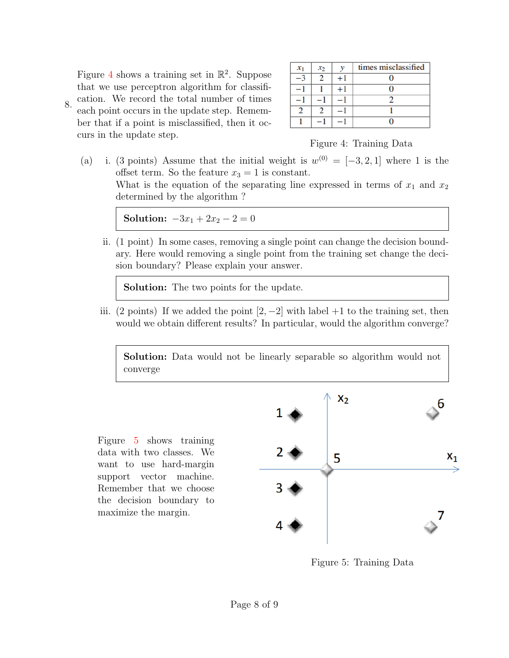<span id="page-8-0"></span>8. Figure [4](#page-8-1) shows a training set in  $\mathbb{R}^2$ . Suppose that we use perceptron algorithm for classification. We record the total number of times each point occurs in the update step. Remember that if a point is misclassified, then it occurs in the update step.

| $x_1$ | $x_2$ |      | times misclassified |
|-------|-------|------|---------------------|
|       |       | $+1$ |                     |
|       |       | +1   |                     |
|       |       |      |                     |
|       |       |      |                     |
|       |       |      |                     |

## <span id="page-8-1"></span>Figure 4: Training Data

(a) i. (3 points) Assume that the initial weight is  $w^{(0)} = [-3, 2, 1]$  where 1 is the offset term. So the feature  $x_3 = 1$  is constant. What is the equation of the separating line expressed in terms of  $x_1$  and  $x_2$ determined by the algorithm ?

Solution:  $-3x_1 + 2x_2 - 2 = 0$ 

ii. (1 point) In some cases, removing a single point can change the decision boundary. Here would removing a single point from the training set change the decision boundary? Please explain your answer.

Solution: The two points for the update.

iii. (2 points) If we added the point  $[2, -2]$  with label +1 to the training set, then would we obtain different results? In particular, would the algorithm converge?

Solution: Data would not be linearly separable so algorithm would not converge

Figure [5](#page-8-2) shows training data with two classes. We want to use hard-margin support vector machine. Remember that we choose the decision boundary to maximize the margin.



<span id="page-8-2"></span>Figure 5: Training Data